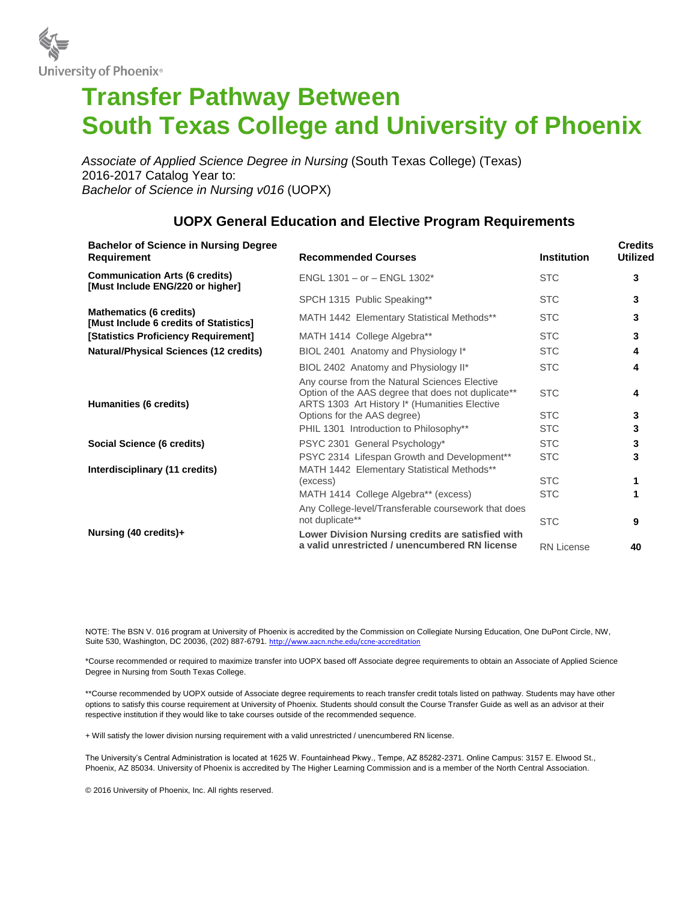

## **Transfer Pathway Between South Texas College and University of Phoenix**

*Associate of Applied Science Degree in Nursing* (South Texas College) (Texas) 2016-2017 Catalog Year to: *Bachelor of Science in Nursing v016* (UOPX)

| <b>Bachelor of Science in Nursing Degree</b><br><b>Requirement</b>        | <b>Recommended Courses</b>                                                                                                                           | <b>Institution</b> | <b>Credits</b><br><b>Utilized</b> |
|---------------------------------------------------------------------------|------------------------------------------------------------------------------------------------------------------------------------------------------|--------------------|-----------------------------------|
| <b>Communication Arts (6 credits)</b><br>[Must Include ENG/220 or higher] | ENGL 1301 - or - ENGL 1302*                                                                                                                          | <b>STC</b>         | 3                                 |
|                                                                           | SPCH 1315 Public Speaking**                                                                                                                          | <b>STC</b>         | 3                                 |
| <b>Mathematics (6 credits)</b><br>[Must Include 6 credits of Statistics]  | MATH 1442 Elementary Statistical Methods**                                                                                                           | <b>STC</b>         | 3                                 |
| [Statistics Proficiency Requirement]                                      | MATH 1414 College Algebra**                                                                                                                          | <b>STC</b>         | 3                                 |
| <b>Natural/Physical Sciences (12 credits)</b><br>Humanities (6 credits)   | BIOL 2401 Anatomy and Physiology I*                                                                                                                  | <b>STC</b>         | 4                                 |
|                                                                           | BIOL 2402 Anatomy and Physiology II*                                                                                                                 | <b>STC</b>         | 4                                 |
|                                                                           | Any course from the Natural Sciences Elective<br>Option of the AAS degree that does not duplicate**<br>ARTS 1303 Art History I* (Humanities Elective | <b>STC</b>         | 4                                 |
|                                                                           | Options for the AAS degree)                                                                                                                          | <b>STC</b>         | 3                                 |
|                                                                           | PHIL 1301 Introduction to Philosophy**                                                                                                               | <b>STC</b>         | 3                                 |
| Social Science (6 credits)                                                | PSYC 2301 General Psychology*                                                                                                                        | <b>STC</b>         | 3                                 |
| Interdisciplinary (11 credits)                                            | PSYC 2314 Lifespan Growth and Development**<br>MATH 1442 Elementary Statistical Methods**                                                            | <b>STC</b>         | 3                                 |
|                                                                           | (excess)                                                                                                                                             | <b>STC</b>         | 1                                 |
|                                                                           | MATH 1414 College Algebra** (excess)                                                                                                                 | <b>STC</b>         |                                   |
|                                                                           | Any College-level/Transferable coursework that does<br>not duplicate**                                                                               | <b>STC</b>         | 9                                 |
| Nursing (40 credits)+                                                     | Lower Division Nursing credits are satisfied with<br>a valid unrestricted / unencumbered RN license                                                  | <b>RN License</b>  | 40                                |

## **UOPX General Education and Elective Program Requirements**

NOTE: The BSN V. 016 program at University of Phoenix is accredited by the Commission on Collegiate Nursing Education, One DuPont Circle, NW, Suite 530, Washington, DC 20036, (202) 887-6791. <http://www.aacn.nche.edu/ccne-accreditation>

\*Course recommended or required to maximize transfer into UOPX based off Associate degree requirements to obtain an Associate of Applied Science Degree in Nursing from South Texas College.

\*\*Course recommended by UOPX outside of Associate degree requirements to reach transfer credit totals listed on pathway. Students may have other options to satisfy this course requirement at University of Phoenix. Students should consult the Course Transfer Guide as well as an advisor at their respective institution if they would like to take courses outside of the recommended sequence.

+ Will satisfy the lower division nursing requirement with a valid unrestricted / unencumbered RN license.

The University's Central Administration is located at 1625 W. Fountainhead Pkwy., Tempe, AZ 85282-2371. Online Campus: 3157 E. Elwood St., Phoenix, AZ 85034. University of Phoenix is accredited by The Higher Learning Commission and is a member of the North Central Association.

© 2016 University of Phoenix, Inc. All rights reserved.